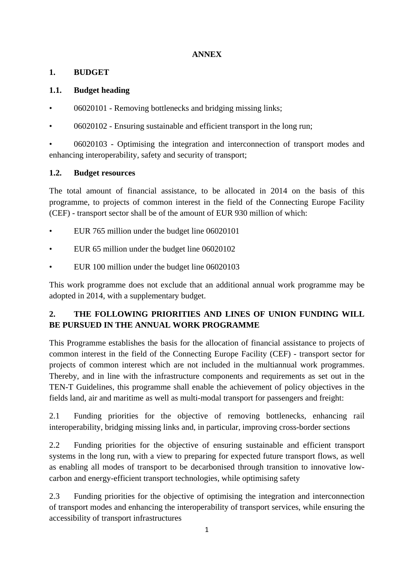### **ANNEX**

### **1. BUDGET**

### **1.1. Budget heading**

- 06020101 Removing bottlenecks and bridging missing links;
- 06020102 Ensuring sustainable and efficient transport in the long run;

• 06020103 - Optimising the integration and interconnection of transport modes and enhancing interoperability, safety and security of transport;

### **1.2. Budget resources**

The total amount of financial assistance, to be allocated in 2014 on the basis of this programme, to projects of common interest in the field of the Connecting Europe Facility (CEF) - transport sector shall be of the amount of EUR 930 million of which:

- EUR 765 million under the budget line 06020101
- EUR 65 million under the budget line 06020102
- EUR 100 million under the budget line 06020103

This work programme does not exclude that an additional annual work programme may be adopted in 2014, with a supplementary budget.

# **2. THE FOLLOWING PRIORITIES AND LINES OF UNION FUNDING WILL BE PURSUED IN THE ANNUAL WORK PROGRAMME**

This Programme establishes the basis for the allocation of financial assistance to projects of common interest in the field of the Connecting Europe Facility (CEF) - transport sector for projects of common interest which are not included in the multiannual work programmes. Thereby, and in line with the infrastructure components and requirements as set out in the TEN-T Guidelines, this programme shall enable the achievement of policy objectives in the fields land, air and maritime as well as multi-modal transport for passengers and freight:

2.1 Funding priorities for the objective of removing bottlenecks, enhancing rail interoperability, bridging missing links and, in particular, improving cross-border sections

2.2 Funding priorities for the objective of ensuring sustainable and efficient transport systems in the long run, with a view to preparing for expected future transport flows, as well as enabling all modes of transport to be decarbonised through transition to innovative lowcarbon and energy-efficient transport technologies, while optimising safety

2.3 Funding priorities for the objective of optimising the integration and interconnection of transport modes and enhancing the interoperability of transport services, while ensuring the accessibility of transport infrastructures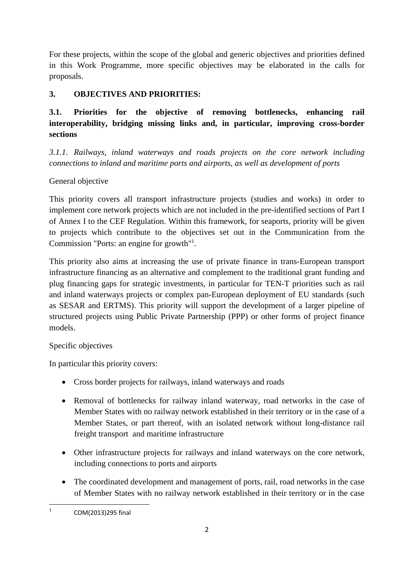For these projects, within the scope of the global and generic objectives and priorities defined in this Work Programme, more specific objectives may be elaborated in the calls for proposals.

### **3. OBJECTIVES AND PRIORITIES:**

**3.1. Priorities for the objective of removing bottlenecks, enhancing rail interoperability, bridging missing links and, in particular, improving cross-border sections** 

*3.1.1. Railways, inland waterways and roads projects on the core network including connections to inland and maritime ports and airports, as well as development of ports* 

## General objective

This priority covers all transport infrastructure projects (studies and works) in order to implement core network projects which are not included in the pre-identified sections of Part I of Annex I to the CEF Regulation. Within this framework, for seaports, priority will be given to projects which contribute to the objectives set out in the Communication from the Commission "Ports: an engine for growth"<sup>1</sup> .

This priority also aims at increasing the use of private finance in trans-European transport infrastructure financing as an alternative and complement to the traditional grant funding and plug financing gaps for strategic investments, in particular for TEN-T priorities such as rail and inland waterways projects or complex pan-European deployment of EU standards (such as SESAR and ERTMS). This priority will support the development of a larger pipeline of structured projects using Public Private Partnership (PPP) or other forms of project finance models.

## Specific objectives

In particular this priority covers:

- Cross border projects for railways, inland waterways and roads
- Removal of bottlenecks for railway inland waterway, road networks in the case of Member States with no railway network established in their territory or in the case of a Member States, or part thereof, with an isolated network without long-distance rail freight transport and maritime infrastructure
- Other infrastructure projects for railways and inland waterways on the core network, including connections to ports and airports
- The coordinated development and management of ports, rail, road networks in the case of Member States with no railway network established in their territory or in the case

 $\frac{1}{1}$ COM(2013)295 final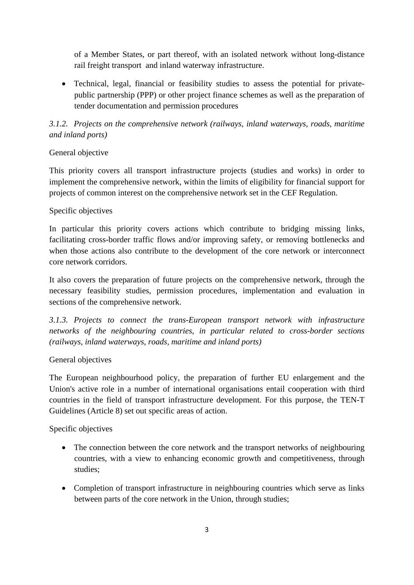of a Member States, or part thereof, with an isolated network without long-distance rail freight transport and inland waterway infrastructure.

• Technical, legal, financial or feasibility studies to assess the potential for privatepublic partnership (PPP) or other project finance schemes as well as the preparation of tender documentation and permission procedures

## *3.1.2. Projects on the comprehensive network (railways, inland waterways, roads, maritime and inland ports)*

#### General objective

This priority covers all transport infrastructure projects (studies and works) in order to implement the comprehensive network, within the limits of eligibility for financial support for projects of common interest on the comprehensive network set in the CEF Regulation.

#### Specific objectives

In particular this priority covers actions which contribute to bridging missing links, facilitating cross-border traffic flows and/or improving safety, or removing bottlenecks and when those actions also contribute to the development of the core network or interconnect core network corridors.

It also covers the preparation of future projects on the comprehensive network, through the necessary feasibility studies, permission procedures, implementation and evaluation in sections of the comprehensive network.

*3.1.3. Projects to connect the trans-European transport network with infrastructure networks of the neighbouring countries, in particular related to cross-border sections (railways, inland waterways, roads, maritime and inland ports)* 

#### General objectives

The European neighbourhood policy, the preparation of further EU enlargement and the Union's active role in a number of international organisations entail cooperation with third countries in the field of transport infrastructure development. For this purpose, the TEN-T Guidelines (Article 8) set out specific areas of action.

Specific objectives

- The connection between the core network and the transport networks of neighbouring countries, with a view to enhancing economic growth and competitiveness, through studies;
- Completion of transport infrastructure in neighbouring countries which serve as links between parts of the core network in the Union, through studies;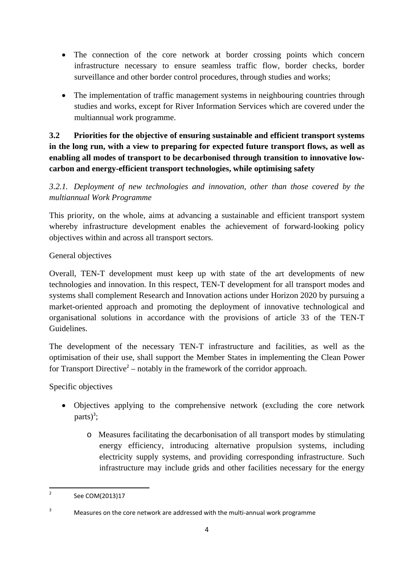- The connection of the core network at border crossing points which concern infrastructure necessary to ensure seamless traffic flow, border checks, border surveillance and other border control procedures, through studies and works;
- The implementation of traffic management systems in neighbouring countries through studies and works, except for River Information Services which are covered under the multiannual work programme.

# **3.2 Priorities for the objective of ensuring sustainable and efficient transport systems in the long run, with a view to preparing for expected future transport flows, as well as enabling all modes of transport to be decarbonised through transition to innovative lowcarbon and energy-efficient transport technologies, while optimising safety**

*3.2.1. Deployment of new technologies and innovation, other than those covered by the multiannual Work Programme* 

This priority, on the whole, aims at advancing a sustainable and efficient transport system whereby infrastructure development enables the achievement of forward-looking policy objectives within and across all transport sectors.

## General objectives

Overall, TEN-T development must keep up with state of the art developments of new technologies and innovation. In this respect, TEN-T development for all transport modes and systems shall complement Research and Innovation actions under Horizon 2020 by pursuing a market-oriented approach and promoting the deployment of innovative technological and organisational solutions in accordance with the provisions of article 33 of the TEN-T Guidelines.

The development of the necessary TEN-T infrastructure and facilities, as well as the optimisation of their use, shall support the Member States in implementing the Clean Power for Transport Directive<sup>2</sup> – notably in the framework of the corridor approach.

Specific objectives

- Objectives applying to the comprehensive network (excluding the core network parts $)^3$ ;
	- o Measures facilitating the decarbonisation of all transport modes by stimulating energy efficiency, introducing alternative propulsion systems, including electricity supply systems, and providing corresponding infrastructure. Such infrastructure may include grids and other facilities necessary for the energy

 $\frac{1}{2}$ See COM(2013)17

<sup>3</sup> Measures on the core network are addressed with the multi-annual work programme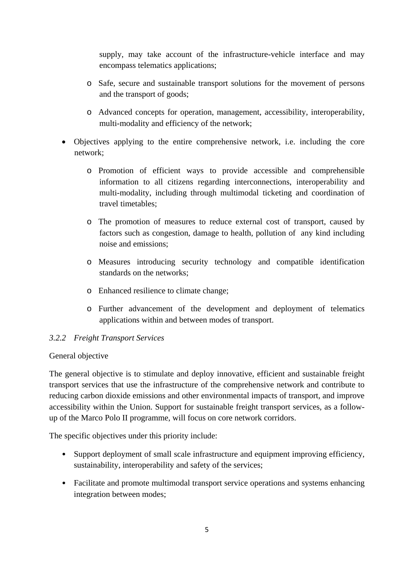supply, may take account of the infrastructure-vehicle interface and may encompass telematics applications;

- o Safe, secure and sustainable transport solutions for the movement of persons and the transport of goods;
- o Advanced concepts for operation, management, accessibility, interoperability, multi-modality and efficiency of the network;
- Objectives applying to the entire comprehensive network, i.e. including the core network;
	- o Promotion of efficient ways to provide accessible and comprehensible information to all citizens regarding interconnections, interoperability and multi-modality, including through multimodal ticketing and coordination of travel timetables;
	- o The promotion of measures to reduce external cost of transport, caused by factors such as congestion, damage to health, pollution of any kind including noise and emissions;
	- o Measures introducing security technology and compatible identification standards on the networks;
	- o Enhanced resilience to climate change;
	- o Further advancement of the development and deployment of telematics applications within and between modes of transport.

## *3.2.2 Freight Transport Services*

#### General objective

The general objective is to stimulate and deploy innovative, efficient and sustainable freight transport services that use the infrastructure of the comprehensive network and contribute to reducing carbon dioxide emissions and other environmental impacts of transport, and improve accessibility within the Union. Support for sustainable freight transport services, as a followup of the Marco Polo II programme, will focus on core network corridors.

The specific objectives under this priority include:

- Support deployment of small scale infrastructure and equipment improving efficiency, sustainability, interoperability and safety of the services;
- Facilitate and promote multimodal transport service operations and systems enhancing integration between modes;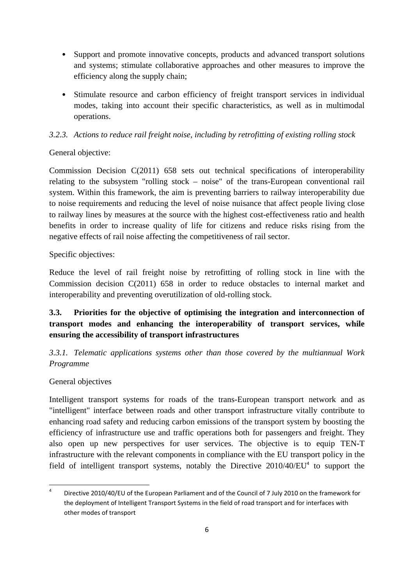- Support and promote innovative concepts, products and advanced transport solutions and systems; stimulate collaborative approaches and other measures to improve the efficiency along the supply chain;
- Stimulate resource and carbon efficiency of freight transport services in individual modes, taking into account their specific characteristics, as well as in multimodal operations.

### *3.2.3. Actions to reduce rail freight noise, including by retrofitting of existing rolling stock*

### General objective:

Commission Decision C(2011) 658 sets out technical specifications of interoperability relating to the subsystem "rolling stock – noise" of the trans-European conventional rail system. Within this framework, the aim is preventing barriers to railway interoperability due to noise requirements and reducing the level of noise nuisance that affect people living close to railway lines by measures at the source with the highest cost-effectiveness ratio and health benefits in order to increase quality of life for citizens and reduce risks rising from the negative effects of rail noise affecting the competitiveness of rail sector.

Specific objectives:

Reduce the level of rail freight noise by retrofitting of rolling stock in line with the Commission decision C(2011) 658 in order to reduce obstacles to internal market and interoperability and preventing overutilization of old-rolling stock.

## **3.3. Priorities for the objective of optimising the integration and interconnection of transport modes and enhancing the interoperability of transport services, while ensuring the accessibility of transport infrastructures**

*3.3.1. Telematic applications systems other than those covered by the multiannual Work Programme* 

## General objectives

Intelligent transport systems for roads of the trans-European transport network and as "intelligent" interface between roads and other transport infrastructure vitally contribute to enhancing road safety and reducing carbon emissions of the transport system by boosting the efficiency of infrastructure use and traffic operations both for passengers and freight. They also open up new perspectives for user services. The objective is to equip TEN-T infrastructure with the relevant components in compliance with the EU transport policy in the field of intelligent transport systems, notably the Directive  $2010/40/EU<sup>4</sup>$  to support the

 $\frac{1}{4}$  Directive 2010/40/EU of the European Parliament and of the Council of 7 July 2010 on the framework for the deployment of Intelligent Transport Systems in the field of road transport and for interfaces with other modes of transport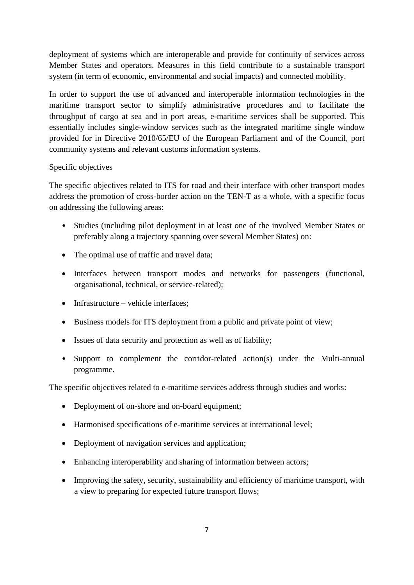deployment of systems which are interoperable and provide for continuity of services across Member States and operators. Measures in this field contribute to a sustainable transport system (in term of economic, environmental and social impacts) and connected mobility.

In order to support the use of advanced and interoperable information technologies in the maritime transport sector to simplify administrative procedures and to facilitate the throughput of cargo at sea and in port areas, e-maritime services shall be supported. This essentially includes single-window services such as the integrated maritime single window provided for in Directive 2010/65/EU of the European Parliament and of the Council, port community systems and relevant customs information systems.

#### Specific objectives

The specific objectives related to ITS for road and their interface with other transport modes address the promotion of cross-border action on the TEN-T as a whole, with a specific focus on addressing the following areas:

- Studies (including pilot deployment in at least one of the involved Member States or preferably along a trajectory spanning over several Member States) on:
- The optimal use of traffic and travel data;
- Interfaces between transport modes and networks for passengers (functional, organisational, technical, or service-related);
- Infrastructure vehicle interfaces:
- Business models for ITS deployment from a public and private point of view;
- Issues of data security and protection as well as of liability;
- Support to complement the corridor-related action(s) under the Multi-annual programme.

The specific objectives related to e-maritime services address through studies and works:

- Deployment of on-shore and on-board equipment;
- Harmonised specifications of e-maritime services at international level:
- Deployment of navigation services and application;
- Enhancing interoperability and sharing of information between actors;
- Improving the safety, security, sustainability and efficiency of maritime transport, with a view to preparing for expected future transport flows;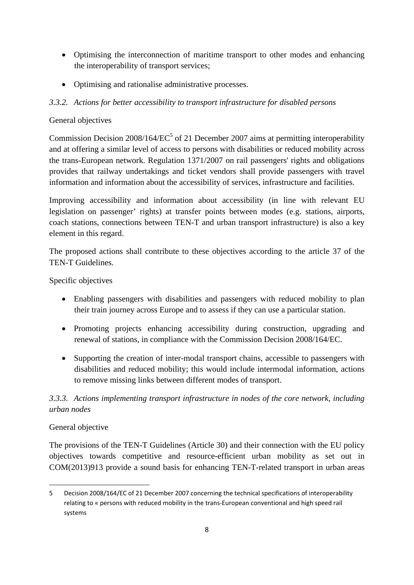- Optimising the interconnection of maritime transport to other modes and enhancing the interoperability of transport services;
- Optimising and rationalise administrative processes.

### *3.3.2. Actions for better accessibility to transport infrastructure for disabled persons*

#### General objectives

Commission Decision  $2008/164/EC^5$  of 21 December 2007 aims at permitting interoperability and at offering a similar level of access to persons with disabilities or reduced mobility across the trans-European network. Regulation 1371/2007 on rail passengers' rights and obligations provides that railway undertakings and ticket vendors shall provide passengers with travel information and information about the accessibility of services, infrastructure and facilities.

Improving accessibility and information about accessibility (in line with relevant EU legislation on passenger' rights) at transfer points between modes (e.g. stations, airports, coach stations, connections between TEN-T and urban transport infrastructure) is also a key element in this regard.

The proposed actions shall contribute to these objectives according to the article 37 of the TEN-T Guidelines.

Specific objectives

- Enabling passengers with disabilities and passengers with reduced mobility to plan their train journey across Europe and to assess if they can use a particular station.
- Promoting projects enhancing accessibility during construction, upgrading and renewal of stations, in compliance with the Commission Decision 2008/164/EC.
- Supporting the creation of inter-modal transport chains, accessible to passengers with disabilities and reduced mobility; this would include intermodal information, actions to remove missing links between different modes of transport.

# *3.3.3. Actions implementing transport infrastructure in nodes of the core network, including urban nodes*

#### General objective

The provisions of the TEN-T Guidelines (Article 30) and their connection with the EU policy objectives towards competitive and resource-efficient urban mobility as set out in COM(2013)913 provide a sound basis for enhancing TEN-T-related transport in urban areas

**<sup>.</sup>** 5 Decision 2008/164/EC of 21 December 2007 concerning the technical specifications of interoperability relating to « persons with reduced mobility in the trans-European conventional and high speed rail systems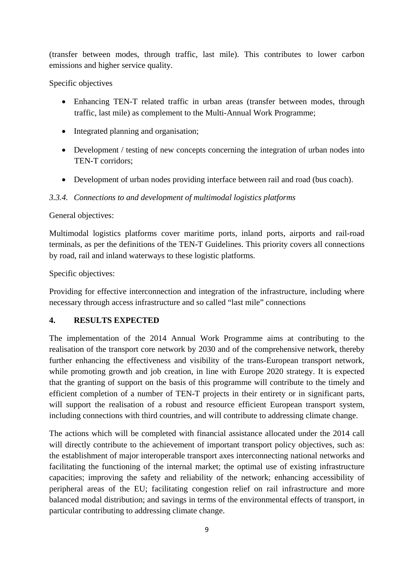(transfer between modes, through traffic, last mile). This contributes to lower carbon emissions and higher service quality.

#### Specific objectives

- Enhancing TEN-T related traffic in urban areas (transfer between modes, through traffic, last mile) as complement to the Multi-Annual Work Programme;
- Integrated planning and organisation;
- Development / testing of new concepts concerning the integration of urban nodes into TEN-T corridors;
- Development of urban nodes providing interface between rail and road (bus coach).

#### *3.3.4. Connections to and development of multimodal logistics platforms*

#### General objectives:

Multimodal logistics platforms cover maritime ports, inland ports, airports and rail-road terminals, as per the definitions of the TEN-T Guidelines. This priority covers all connections by road, rail and inland waterways to these logistic platforms.

Specific objectives:

Providing for effective interconnection and integration of the infrastructure, including where necessary through access infrastructure and so called "last mile" connections

#### **4. RESULTS EXPECTED**

The implementation of the 2014 Annual Work Programme aims at contributing to the realisation of the transport core network by 2030 and of the comprehensive network, thereby further enhancing the effectiveness and visibility of the trans-European transport network, while promoting growth and job creation, in line with Europe 2020 strategy. It is expected that the granting of support on the basis of this programme will contribute to the timely and efficient completion of a number of TEN-T projects in their entirety or in significant parts, will support the realisation of a robust and resource efficient European transport system, including connections with third countries, and will contribute to addressing climate change.

The actions which will be completed with financial assistance allocated under the 2014 call will directly contribute to the achievement of important transport policy objectives, such as: the establishment of major interoperable transport axes interconnecting national networks and facilitating the functioning of the internal market; the optimal use of existing infrastructure capacities; improving the safety and reliability of the network; enhancing accessibility of peripheral areas of the EU; facilitating congestion relief on rail infrastructure and more balanced modal distribution; and savings in terms of the environmental effects of transport, in particular contributing to addressing climate change.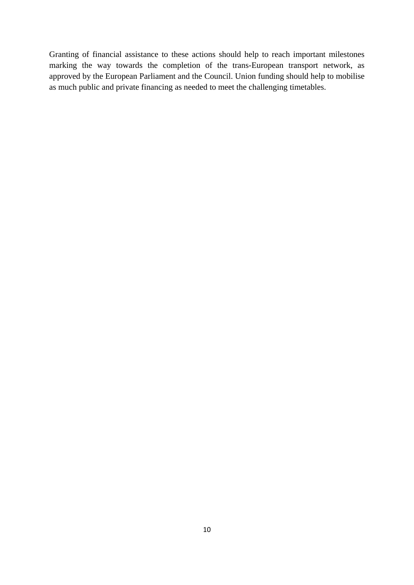Granting of financial assistance to these actions should help to reach important milestones marking the way towards the completion of the trans-European transport network, as approved by the European Parliament and the Council. Union funding should help to mobilise as much public and private financing as needed to meet the challenging timetables.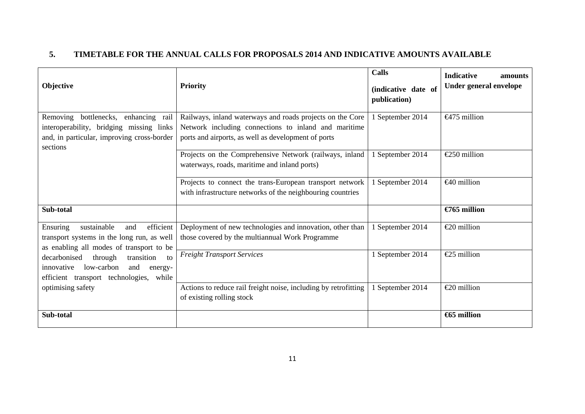#### **5. TIMETABLE FOR THE ANNUAL CALLS FOR PROPOSALS 2014 AND INDICATIVE AMOUNTS AVAILABLE**

| Objective                                                                                                                                                                                                                                                                  | <b>Priority</b>                                                                                                                                                          | <b>Calls</b><br>(indicative date of<br>publication) | <b>Indicative</b><br>amounts<br>Under general envelope |
|----------------------------------------------------------------------------------------------------------------------------------------------------------------------------------------------------------------------------------------------------------------------------|--------------------------------------------------------------------------------------------------------------------------------------------------------------------------|-----------------------------------------------------|--------------------------------------------------------|
| Removing<br>bottlenecks, enhancing rail<br>interoperability, bridging missing links<br>and, in particular, improving cross-border<br>sections                                                                                                                              | Railways, inland waterways and roads projects on the Core<br>Network including connections to inland and maritime<br>ports and airports, as well as development of ports | 1 September 2014                                    | $\leftarrow$ 475 million                               |
|                                                                                                                                                                                                                                                                            | Projects on the Comprehensive Network (railways, inland<br>waterways, roads, maritime and inland ports)                                                                  | 1 September 2014                                    | $E$ 50 million                                         |
|                                                                                                                                                                                                                                                                            | Projects to connect the trans-European transport network<br>with infrastructure networks of the neighbouring countries                                                   | 1 September 2014                                    | $\bigoplus$ million                                    |
| Sub-total                                                                                                                                                                                                                                                                  |                                                                                                                                                                          |                                                     | $\epsilon$ 765 million                                 |
| efficient<br>Ensuring<br>sustainable<br>and<br>transport systems in the long run, as well<br>as enabling all modes of transport to be<br>decarbonised<br>through<br>transition<br>to<br>innovative low-carbon<br>and<br>energy-<br>efficient transport technologies, while | Deployment of new technologies and innovation, other than<br>those covered by the multiannual Work Programme                                                             | 1 September 2014                                    | $\epsilon$ 20 million                                  |
|                                                                                                                                                                                                                                                                            | <b>Freight Transport Services</b>                                                                                                                                        | 1 September 2014                                    | $\text{\textsterling}25$ million                       |
| optimising safety                                                                                                                                                                                                                                                          | Actions to reduce rail freight noise, including by retrofitting<br>of existing rolling stock                                                                             | 1 September 2014                                    | $\epsilon$ 20 million                                  |
| Sub-total                                                                                                                                                                                                                                                                  |                                                                                                                                                                          |                                                     | <b>€65 million</b>                                     |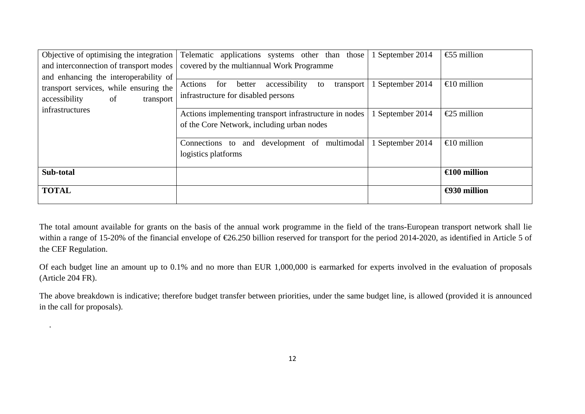| Objective of optimising the integration | Telematic applications systems other than<br>those           | 1 September 2014 | $\text{\textsterling}5$ million |
|-----------------------------------------|--------------------------------------------------------------|------------------|---------------------------------|
| and interconnection of transport modes  | covered by the multiannual Work Programme                    |                  |                                 |
| and enhancing the interoperability of   |                                                              |                  |                                 |
| transport services, while ensuring the  | for<br>accessibility<br>Actions<br>better<br>transport<br>to | 1 September 2014 | $\bigoplus$ million             |
| of<br>accessibility<br>transport        | infrastructure for disabled persons                          |                  |                                 |
| infrastructures                         | Actions implementing transport infrastructure in nodes       | September 2014   | $\epsilon$ 25 million           |
|                                         | of the Core Network, including urban nodes                   |                  |                                 |
|                                         |                                                              |                  |                                 |
|                                         | and development of multimodal<br>Connections to              | 1 September 2014 | $\bigoplus$ million             |
|                                         | logistics platforms                                          |                  |                                 |
|                                         |                                                              |                  |                                 |
| Sub-total                               |                                                              |                  | $\bigoplus$ 00 million          |
| <b>TOTAL</b>                            |                                                              |                  | $\bigoplus$ 30 million          |
|                                         |                                                              |                  |                                 |

The total amount available for grants on the basis of the annual work programme in the field of the trans-European transport network shall lie within a range of 15-20% of the financial envelope of €26.250 billion reserved for transport for the period 2014-2020, as identified in Article 5 of the CEF Regulation.

Of each budget line an amount up to 0.1% and no more than EUR 1,000,000 is earmarked for experts involved in the evaluation of proposals (Article 204 FR).

The above breakdown is indicative; therefore budget transfer between priorities, under the same budget line, is allowed (provided it is announced in the call for proposals).

.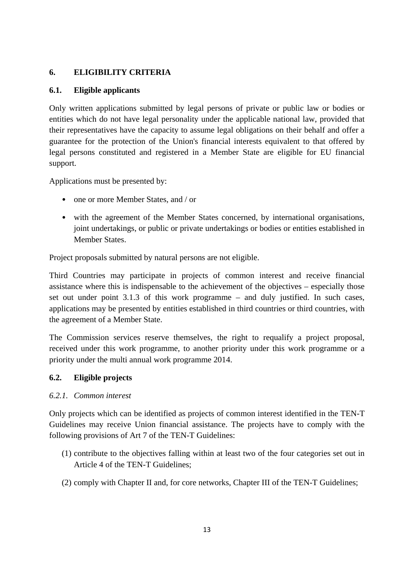#### **6. ELIGIBILITY CRITERIA**

#### **6.1. Eligible applicants**

Only written applications submitted by legal persons of private or public law or bodies or entities which do not have legal personality under the applicable national law, provided that their representatives have the capacity to assume legal obligations on their behalf and offer a guarantee for the protection of the Union's financial interests equivalent to that offered by legal persons constituted and registered in a Member State are eligible for EU financial support.

Applications must be presented by:

- one or more Member States, and / or
- with the agreement of the Member States concerned, by international organisations, joint undertakings, or public or private undertakings or bodies or entities established in Member States.

Project proposals submitted by natural persons are not eligible.

Third Countries may participate in projects of common interest and receive financial assistance where this is indispensable to the achievement of the objectives – especially those set out under point 3.1.3 of this work programme – and duly justified. In such cases, applications may be presented by entities established in third countries or third countries, with the agreement of a Member State.

The Commission services reserve themselves, the right to requalify a project proposal, received under this work programme, to another priority under this work programme or a priority under the multi annual work programme 2014.

#### **6.2. Eligible projects**

#### *6.2.1. Common interest*

Only projects which can be identified as projects of common interest identified in the TEN-T Guidelines may receive Union financial assistance. The projects have to comply with the following provisions of Art 7 of the TEN-T Guidelines:

- (1) contribute to the objectives falling within at least two of the four categories set out in Article 4 of the TEN-T Guidelines;
- (2) comply with Chapter II and, for core networks, Chapter III of the TEN-T Guidelines;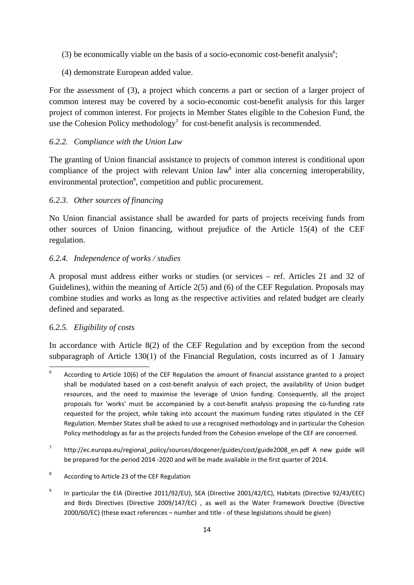- $(3)$  be economically viable on the basis of a socio-economic cost-benefit analysis<sup>6</sup>;
- (4) demonstrate European added value.

For the assessment of (3), a project which concerns a part or section of a larger project of common interest may be covered by a socio-economic cost-benefit analysis for this larger project of common interest. For projects in Member States eligible to the Cohesion Fund, the use the Cohesion Policy methodology<sup>7</sup> for cost-benefit analysis is recommended.

### *6.2.2. Compliance with the Union Law*

The granting of Union financial assistance to projects of common interest is conditional upon compliance of the project with relevant Union law<sup>8</sup> inter alia concerning interoperability, environmental protection<sup>9</sup>, competition and public procurement.

### *6.2.3. Other sources of financing*

No Union financial assistance shall be awarded for parts of projects receiving funds from other sources of Union financing, without prejudice of the Article 15(4) of the CEF regulation.

### *6.2.4. Independence of works / studies*

A proposal must address either works or studies (or services – ref. Articles 21 and 32 of Guidelines), within the meaning of Article 2(5) and (6) of the CEF Regulation. Proposals may combine studies and works as long as the respective activities and related budget are clearly defined and separated.

## *6.2.5. Eligibility of costs*

In accordance with Article 8(2) of the CEF Regulation and by exception from the second subparagraph of Article 130(1) of the Financial Regulation, costs incurred as of 1 January

<sup>—&</sup>lt;br>6 According to Article 10(6) of the CEF Regulation the amount of financial assistance granted to a project shall be modulated based on a cost-benefit analysis of each project, the availability of Union budget resources, and the need to maximise the leverage of Union funding. Consequently, all the project proposals for 'works' must be accompanied by a cost-benefit analysis proposing the co-funding rate requested for the project, while taking into account the maximum funding rates stipulated in the CEF Regulation. Member States shall be asked to use a recognised methodology and in particular the Cohesion Policy methodology as far as the projects funded from the Cohesion envelope of the CEF are concerned.

<sup>7</sup> [http://ec.europa.eu/regional\\_policy/sou](http://ec.europa.eu/regional_policy/sources/docgener/guides/cost/guide2008_en.pdf)rces/docgener/guides/cost/guide2008\_en.pdf A new guide will be prepared for the period 2014 -2020 and will be made available in the first quarter of 2014.

<sup>8</sup> According to Article 23 of the CEF Regulation

<sup>9</sup> In particular the EIA (Directive 2011/92/EU), SEA (Directive 2001/42/EC), Habitats (Directive 92/43/EEC) and Birds Directives (Directive 2009/147/EC) , as well as the Water Framework Directive (Directive 2000/60/EC) (these exact references – number and title - of these legislations should be given)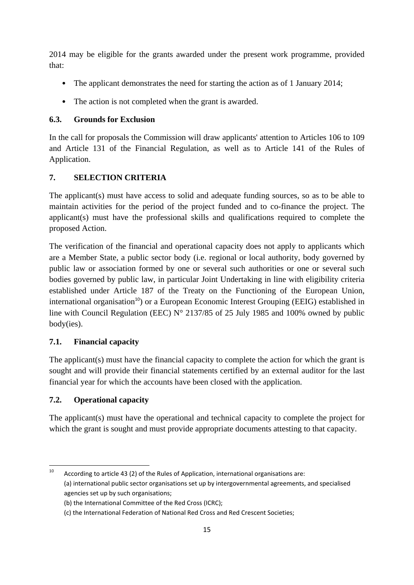2014 may be eligible for the grants awarded under the present work programme, provided that:

- The applicant demonstrates the need for starting the action as of 1 January 2014;
- The action is not completed when the grant is awarded.

## **6.3. Grounds for Exclusion**

In the call for proposals the Commission will draw applicants' attention to Articles 106 to 109 and Article 131 of the Financial Regulation, as well as to Article 141 of the Rules of Application.

# **7. SELECTION CRITERIA**

The applicant(s) must have access to solid and adequate funding sources, so as to be able to maintain activities for the period of the project funded and to co-finance the project. The applicant(s) must have the professional skills and qualifications required to complete the proposed Action.

The verification of the financial and operational capacity does not apply to applicants which are a Member State, a public sector body (i.e. regional or local authority, body governed by public law or association formed by one or several such authorities or one or several such bodies governed by public law, in particular Joint Undertaking in line with eligibility criteria established under Article 187 of the Treaty on the Functioning of the European Union, international organisation<sup>10</sup>) or a European Economic Interest Grouping (EEIG) established in line with Council Regulation (EEC) N° 2137/85 of 25 July 1985 and 100% owned by public body(ies).

## **7.1. Financial capacity**

The applicant(s) must have the financial capacity to complete the action for which the grant is sought and will provide their financial statements certified by an external auditor for the last financial year for which the accounts have been closed with the application.

# **7.2. Operational capacity**

The applicant(s) must have the operational and technical capacity to complete the project for which the grant is sought and must provide appropriate documents attesting to that capacity.

 $10$ According to article 43 (2) of the Rules of Application, international organisations are: (a) international public sector organisations set up by intergovernmental agreements, and specialised agencies set up by such organisations;

<sup>(</sup>b) the International Committee of the Red Cross (ICRC);

<sup>(</sup>c) the International Federation of National Red Cross and Red Crescent Societies;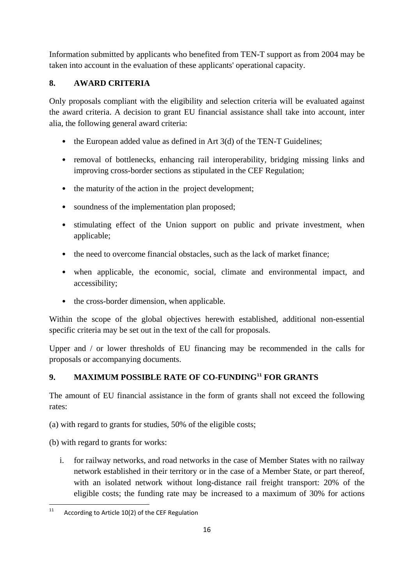Information submitted by applicants who benefited from TEN-T support as from 2004 may be taken into account in the evaluation of these applicants' operational capacity.

# **8. AWARD CRITERIA**

Only proposals compliant with the eligibility and selection criteria will be evaluated against the award criteria. A decision to grant EU financial assistance shall take into account, inter alia, the following general award criteria:

- the European added value as defined in Art 3(d) of the TEN-T Guidelines;
- removal of bottlenecks, enhancing rail interoperability, bridging missing links and improving cross-border sections as stipulated in the CEF Regulation;
- the maturity of the action in the project development;
- soundness of the implementation plan proposed;
- stimulating effect of the Union support on public and private investment, when applicable;
- the need to overcome financial obstacles, such as the lack of market finance;
- when applicable, the economic, social, climate and environmental impact, and accessibility;
- the cross-border dimension, when applicable.

Within the scope of the global objectives herewith established, additional non-essential specific criteria may be set out in the text of the call for proposals.

Upper and / or lower thresholds of EU financing may be recommended in the calls for proposals or accompanying documents.

# **9. MAXIMUM POSSIBLE RATE OF CO-FUNDING<sup>11</sup> FOR GRANTS**

The amount of EU financial assistance in the form of grants shall not exceed the following rates:

(a) with regard to grants for studies, 50% of the eligible costs;

(b) with regard to grants for works:

i. for railway networks, and road networks in the case of Member States with no railway network established in their territory or in the case of a Member State, or part thereof, with an isolated network without long-distance rail freight transport: 20% of the eligible costs; the funding rate may be increased to a maximum of 30% for actions

 $11\,$ According to Article 10(2) of the CEF Regulation